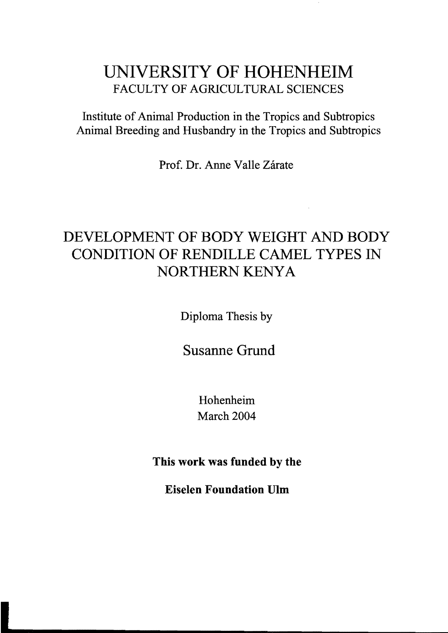## UNIVERSITY OF HOHENHEIM FACULTY OF AGRICULTURAL SCIENCES

Institute of Animal Production in the Tropics and Subtropics Animal Breeding and Husbandry in the Tropics and Subtropics

Prof. Dr. Anne Valle Zárate

# DEVELOPMENT OF BODY WEIGHT AND BODY CONDITION OF RENDILLE CAMEL TYPES IN NORTHERN KENYA

Diploma Thesis by

Susanne Grund

Hohenheim March 2004

This work was funded by the

Eiselen Foundation Ulm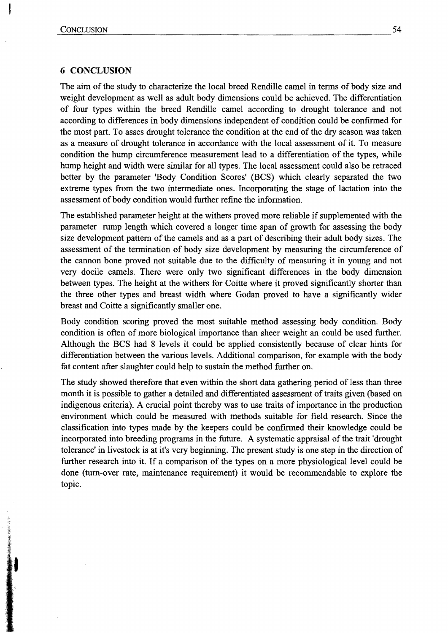## **6 CONCLUSION**

The aim of the study to characterize the local breed Rendille camel in terms of body size and weight development as weIl as adult body dimensions could be achieved. The differentiation of four types within the breed Rendille camel according to drought tolerance and not according to differences in body dimensions independent of condition could be confirmed for the most part. To asses drought tolerance the condition at the end of the dry season was taken as a measure of drought tolerance in accordance with the local assessment of it. To measure condition the hump circumference measurement lead to a differentiation of the types, while hump height and width were similar for all types. The local assessment could also be retraced better by the parameter 'Body Condition Scores' (BCS) which clearly separated the two extreme types from the two intermediate ones. Incorporating the stage of lactation into the assessment of body condition would further refine the information.

The established parameter height at the withers proved more reliable if supplemented with the parameter rump length which covered a longer time span of growth for assessing the body size development pattern of the camels and as apart of describing their adult body sizes. The assessment of the termination of body size development by measuring the circumference of the cannon bone proved not suitable due to the difficulty of measuring it in young and not very docile camels. There were only two significant differences in the body dimension between types. The height at the withers for Coitte where it proved significantly shorter than the three other types and breast width where Godan proved to have a significantly wider breast and Coitte a significantly smaller one.

Body condition scoring proved the most suitable method assessing body condition. Body condition is often of more biological importance than sheer weight an could be used further. Although the BCS had 8 levels it could be applied consistently because of clear hints for differentiation between the various levels. Additional comparison, for example with the body fat content after slaughter could help to sustain the method further on.

The study showed therefore that even within the short data gathering period of less than three month it is possible to gather a detailed and differentiated assessment of traits given (based on indigenous criteria). A crucial point thereby was to use traits of importance in the production environment which could be measured with methods suitable for field research. Since the classification into types made by the keepers could be confirmed their knowledge could be incorporated into breeding programs in the future. A systematic appraisal of the trait 'drought tolerance' in livestock is at it's very beginning. The present study is one step in the direction of further research into it. If a comparison of the types on a more physiological level could be done (turn-over rate, maintenance requirement) it would be recommendable to explore the topic.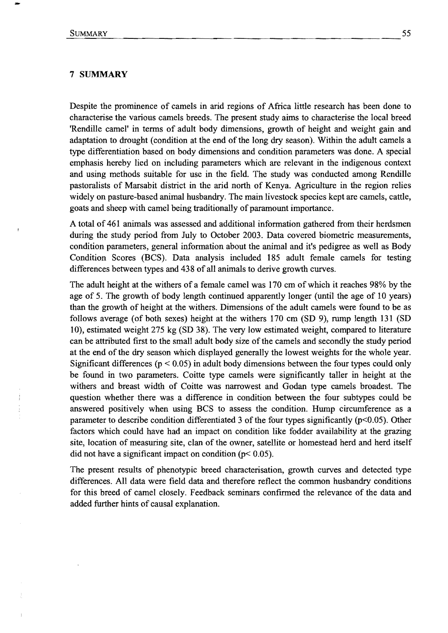### 7 **SUMMARY**

Despite the prominence of camels in arid regions of Africa little research has been done to characterise the various camels breeds. The present study aims to characterise the local breed 'Rendille camel' in terms of adult body dimensions, growth of height and weight gain and adaptation to drought (condition at the end of the long dry season). Within the adult camels a type differentiation based on body dimensions and condition parameters was done. A special emphasis hereby lied on including parameters which are relevant in the indigenous context and using methods suitable for use in the field. The study was conducted among Rendille pastoralists of Marsabit district in the arid north of Kenya. Agriculture in the region relies widely on pasture-based animal husbandry. The main livestock species kept are camels, cattle, goats and sheep with camel being traditionally of paramount importance.

A total of 461 animals was assessed and additional information gathered from their herdsmen during the study period from July to October 2003. Data covered biometric measurements, condition parameters, general information about the animal and it's pedigree as well as Body Condition Scores (BCS). Data analysis included 185 adult female camels for testing differences between types and 438 of all animals to derive growth curves.

The adult height at the withers of a female camel was 170 cm of which it reaches 98% by the age of 5. The growth of body length continued apparently longer (until the age of  $10$  years) than the growth of height at the withers. Dimensions of the adult camels were found to be as follows average (of both sexes) height at the withers 170 cm (SD 9), rump length 131 (SD 10), estimated weight 275 kg (SD 38). The very low estimated weight, compared to literature can be attributed first to the small adult body size of the camels and secondly the study period at the end of the dry season which displayed generally the lowest weights for the whole year. Significant differences ( $p < 0.05$ ) in adult body dimensions between the four types could only be found in two parameters. Coitte type camels were significantly taller in height at the withers and breast width of Coitte was narrowest and Godan type camels broadest. The question whether there was a difference in condition between the four subtypes could be answered positively when using BCS to assess the condition. Hump circumference as a parameter to describe condition differentiated 3 of the four types significantly ( $p<0.05$ ). Other factors which could have had an impact on condition like fodder availability at the grazing site, location of measuring site, clan of the owner, satellite or homestead herd and herd itself did not have a significant impact on condition ( $p$ < 0.05).

The present results of phenotypic breed characterisation, growth curves and detected type differences. All data were field data and therefore reflect the common husbandry conditions for this breed of camel closely. Feedback seminars confrrmed the relevance of the data and added further hints of causal explanation.